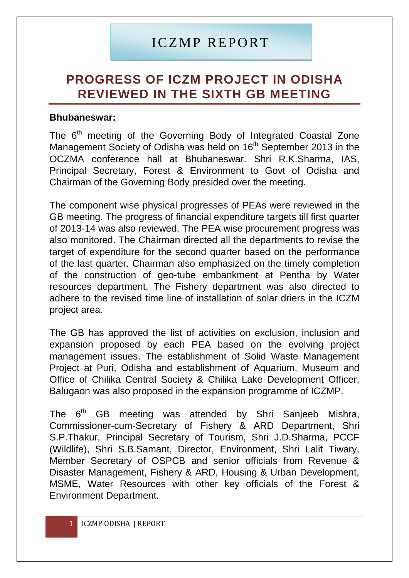## ICZMP REPORT

## **PROGRESS OF ICZM PROJECT IN ODISHA REVIEWED IN THE SIXTH GB MEETING**

## **Bhubaneswar:**

The 6<sup>th</sup> meeting of the Governing Body of Integrated Coastal Zone Management Society of Odisha was held on 16<sup>th</sup> September 2013 in the OCZMA conference hall at Bhubaneswar. Shri R.K.Sharma, IAS, Principal Secretary, Forest & Environment to Govt of Odisha and Chairman of the Governing Body presided over the meeting.

The component wise physical progresses of PEAs were reviewed in the GB meeting. The progress of financial expenditure targets till first quarter of 2013-14 was also reviewed. The PEA wise procurement progress was also monitored. The Chairman directed all the departments to revise the target of expenditure for the second quarter based on the performance of the last quarter. Chairman also emphasized on the timely completion of the construction of geo-tube embankment at Pentha by Water resources department. The Fishery department was also directed to adhere to the revised time line of installation of solar driers in the ICZM project area.

The GB has approved the list of activities on exclusion, inclusion and expansion proposed by each PEA based on the evolving project management issues. The establishment of Solid Waste Management Project at Puri, Odisha and establishment of Aquarium, Museum and Office of Chilika Central Society & Chilika Lake Development Officer, Balugaon was also proposed in the expansion programme of ICZMP.

The 6<sup>th</sup> GB meeting was attended by Shri Sanjeeb Mishra, Commissioner-cum-Secretary of Fishery & ARD Department, Shri S.P.Thakur, Principal Secretary of Tourism, Shri J.D.Sharma, PCCF (Wildlife), Shri S.B.Samant, Director, Environment, Shri Lalit Tiwary, Member Secretary of OSPCB and senior officials from Revenue & Disaster Management, Fishery & ARD, Housing & Urban Development, MSME, Water Resources with other key officials of the Forest & Environment Department.